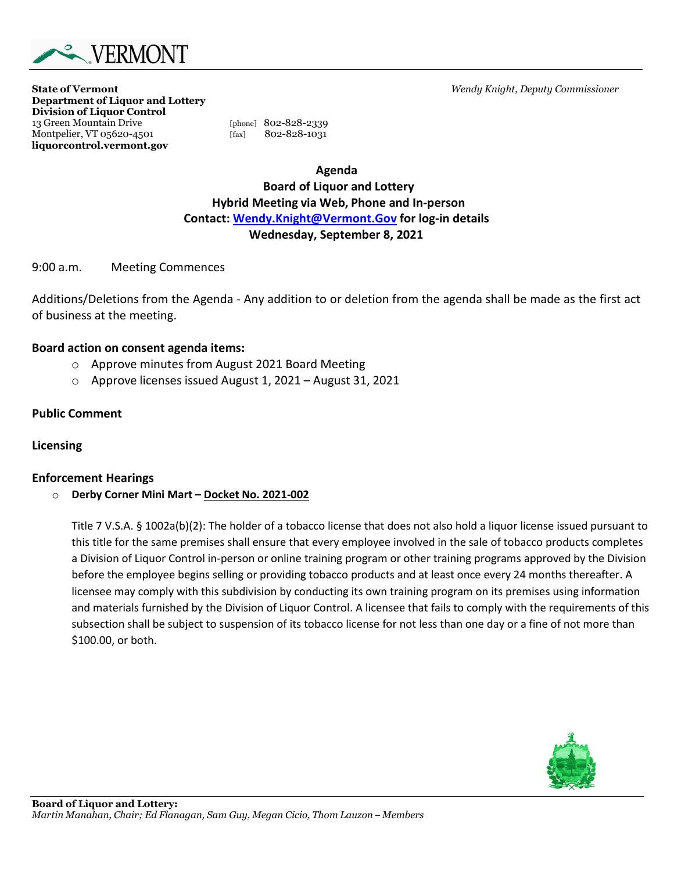

**State of Vermont** *Wendy Knight, Deputy Commissioner*

**Department of Liquor and Lottery Division of Liquor Control** 13 Green Mountain Drive [phone] 802-828-2339<br>Montpelier, VT 05620-4501 [fax] 802-828-1031 Montpelier, VT 05620-4501 [fax] **liquorcontrol.vermont.gov**

**Agenda Board of Liquor and Lottery Hybrid Meeting via Web, Phone and In-person Contact: [Wendy.Knight@Vermont.Gov](mailto:Wendy.Knight@Vermont.Gov) for log-in details Wednesday, September 8, 2021**

### 9:00 a.m. Meeting Commences

Additions/Deletions from the Agenda - Any addition to or deletion from the agenda shall be made as the first act of business at the meeting.

### **Board action on consent agenda items:**

- o Approve minutes from August 2021 Board Meeting
- o Approve licenses issued August 1, 2021 August 31, 2021

## **Public Comment**

## **Licensing**

## **Enforcement Hearings**

o **Derby Corner Mini Mart – Docket No. 2021-002**

Title 7 V.S.A. § 1002a(b)(2): The holder of a tobacco license that does not also hold a liquor license issued pursuant to this title for the same premises shall ensure that every employee involved in the sale of tobacco products completes a Division of Liquor Control in-person or online training program or other training programs approved by the Division before the employee begins selling or providing tobacco products and at least once every 24 months thereafter. A licensee may comply with this subdivision by conducting its own training program on its premises using information and materials furnished by the Division of Liquor Control. A licensee that fails to comply with the requirements of this subsection shall be subject to suspension of its tobacco license for not less than one day or a fine of not more than \$100.00, or both.